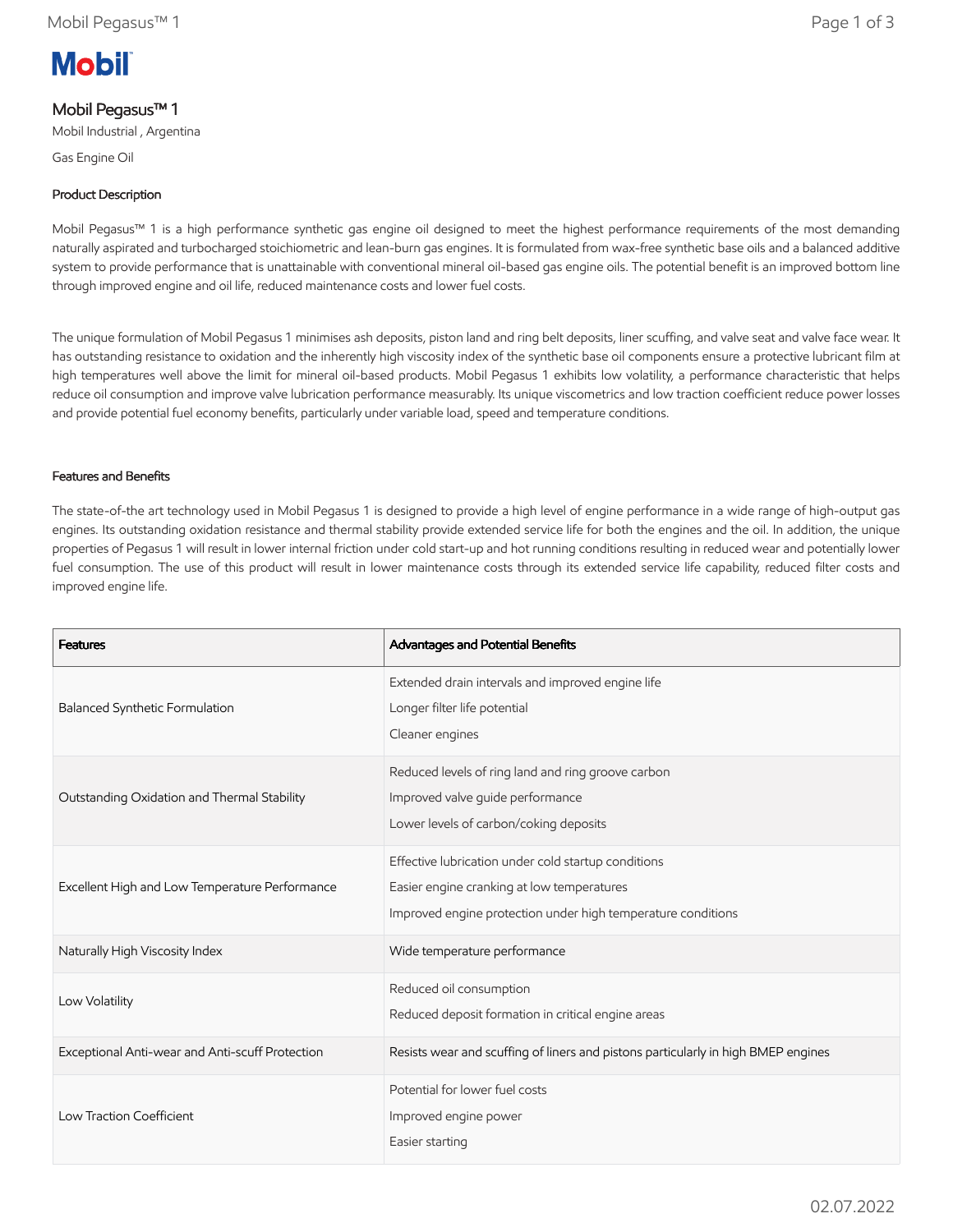# **Mobil**

## Mobil Pegasus™ 1

Mobil Industrial , Argentina

Gas Engine Oil

## Product Description

Mobil Pegasus™ 1 is a high performance synthetic gas engine oil designed to meet the highest performance requirements of the most demanding naturally aspirated and turbocharged stoichiometric and lean-burn gas engines. It is formulated from wax-free synthetic base oils and a balanced additive system to provide performance that is unattainable with conventional mineral oil-based gas engine oils. The potential benefit is an improved bottom line through improved engine and oil life, reduced maintenance costs and lower fuel costs.

The unique formulation of Mobil Pegasus 1 minimises ash deposits, piston land and ring belt deposits, liner scuffing, and valve seat and valve face wear. It has outstanding resistance to oxidation and the inherently high viscosity index of the synthetic base oil components ensure a protective lubricant film at high temperatures well above the limit for mineral oil-based products. Mobil Pegasus 1 exhibits low volatility, a performance characteristic that helps reduce oil consumption and improve valve lubrication performance measurably. Its unique viscometrics and low traction coefficient reduce power losses and provide potential fuel economy benefits, particularly under variable load, speed and temperature conditions.

### Features and Benefits

The state-of-the art technology used in Mobil Pegasus 1 is designed to provide a high level of engine performance in a wide range of high-output gas engines. Its outstanding oxidation resistance and thermal stability provide extended service life for both the engines and the oil. In addition, the unique properties of Pegasus 1 will result in lower internal friction under cold start-up and hot running conditions resulting in reduced wear and potentially lower fuel consumption. The use of this product will result in lower maintenance costs through its extended service life capability, reduced filter costs and improved engine life.

| <b>Features</b>                                 | Advantages and Potential Benefits                                                                                                                                 |
|-------------------------------------------------|-------------------------------------------------------------------------------------------------------------------------------------------------------------------|
| Balanced Synthetic Formulation                  | Extended drain intervals and improved engine life<br>Longer filter life potential<br>Cleaner engines                                                              |
| Outstanding Oxidation and Thermal Stability     | Reduced levels of ring land and ring groove carbon<br>Improved valve guide performance<br>Lower levels of carbon/coking deposits                                  |
| Excellent High and Low Temperature Performance  | Effective lubrication under cold startup conditions<br>Easier engine cranking at low temperatures<br>Improved engine protection under high temperature conditions |
| Naturally High Viscosity Index                  | Wide temperature performance                                                                                                                                      |
| Low Volatility                                  | Reduced oil consumption<br>Reduced deposit formation in critical engine areas                                                                                     |
| Exceptional Anti-wear and Anti-scuff Protection | Resists wear and scuffing of liners and pistons particularly in high BMEP engines                                                                                 |
| Low Traction Coefficient                        | Potential for lower fuel costs<br>Improved engine power<br>Easier starting                                                                                        |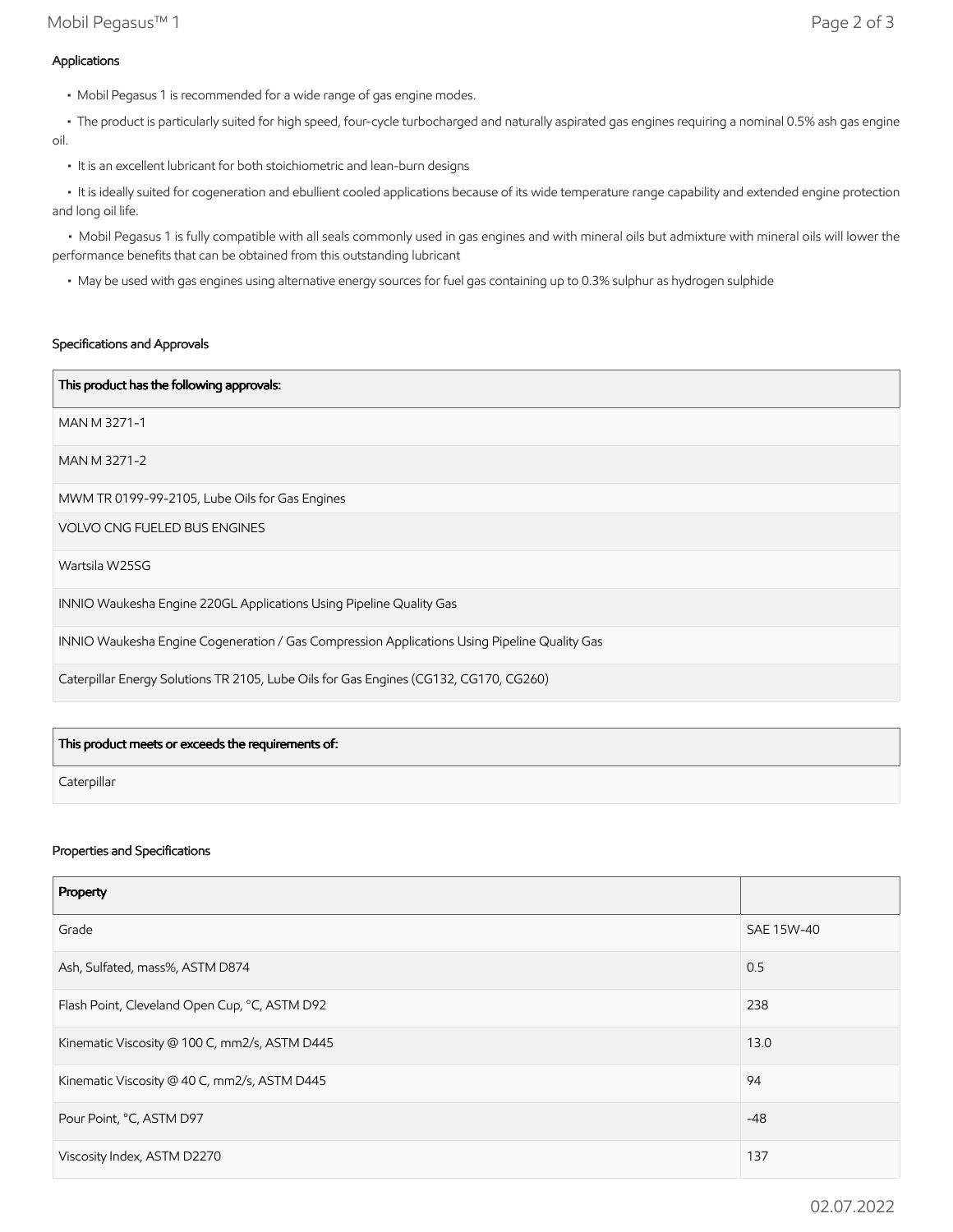• The product is particularly suited for high speed, four-cycle turbocharged and naturally aspirated gas engines requiring a nominal 0.5% ash gas engine oil.

• It is an excellent lubricant for both stoichiometric and lean-burn designs

 • It is ideally suited for cogeneration and ebullient cooled applications because of its wide temperature range capability and extended engine protection and long oil life.

 • Mobil Pegasus 1 is fully compatible with all seals commonly used in gas engines and with mineral oils but admixture with mineral oils will lower the performance benefits that can be obtained from this outstanding lubricant

• May be used with gas engines using alternative energy sources for fuel gas containing up to 0.3% sulphur as hydrogen sulphide

#### Specifications and Approvals

| This product has the following approvals:                                                    |
|----------------------------------------------------------------------------------------------|
| MAN M 3271-1                                                                                 |
| MAN M 3271-2                                                                                 |
| MWM TR 0199-99-2105, Lube Oils for Gas Engines                                               |
| <b>VOLVO CNG FUELED BUS ENGINES</b>                                                          |
| Wartsila W25SG                                                                               |
| INNIO Waukesha Engine 220GL Applications Using Pipeline Quality Gas                          |
| INNIO Waukesha Engine Cogeneration / Gas Compression Applications Using Pipeline Quality Gas |
| Caterpillar Energy Solutions TR 2105, Lube Oils for Gas Engines (CG132, CG170, CG260)        |

| This product meets or exceeds the requirements of: |  |
|----------------------------------------------------|--|
| Caterpillar                                        |  |

#### Properties and Specifications

| Property                                      |            |
|-----------------------------------------------|------------|
| Grade                                         | SAE 15W-40 |
| Ash, Sulfated, mass%, ASTM D874               | 0.5        |
| Flash Point, Cleveland Open Cup, °C, ASTM D92 | 238        |
| Kinematic Viscosity @ 100 C, mm2/s, ASTM D445 | 13.0       |
| Kinematic Viscosity @ 40 C, mm2/s, ASTM D445  | 94         |
| Pour Point, °C, ASTM D97                      | $-48$      |
| Viscosity Index, ASTM D2270                   | 137        |